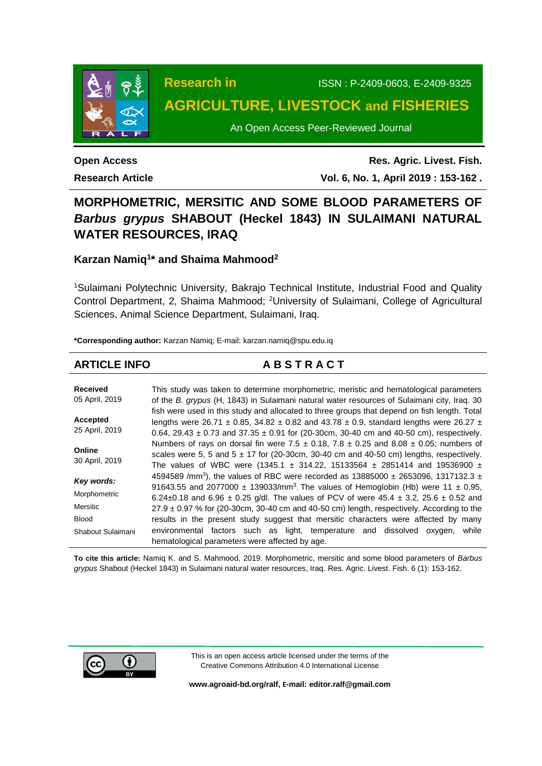

# **Research in** ISSN : P-2409-0603, E-2409-9325 **AGRICULTURE, LIVESTOCK and FISHERIES**

An Open Access Peer-Reviewed Journal

**Open Access Research Article**

**Res. Agric. Livest. Fish. Vol. 6, No. 1, April 2019 : 153-162 .**

# **MORPHOMETRIC, MERSITIC AND SOME BLOOD PARAMETERS OF**  *Barbus grypus* **SHABOUT (Heckel 1843) IN SULAIMANI NATURAL WATER RESOURCES, IRAQ**

# **Karzan Namiq<sup>1</sup> \* and Shaima Mahmood<sup>2</sup>**

<sup>1</sup>Sulaimani Polytechnic University, Bakrajo Technical Institute, Industrial Food and Quality Control Department, 2, Shaima Mahmood; <sup>2</sup>University of Sulaimani, College of Agricultural Sciences, Animal Science Department, Sulaimani, Iraq.

**\*Corresponding author:** Karzan Namiq; E-mail: [karzan.namiq@spu.edu.iq](mailto:marufabau33@gmail.com)

# **ARTICLE INFO A B S T R A C T**

| <b>Received</b><br>05 April, 2019 | This study was taken to determine morphometric, meristic and hematological parameters<br>of the B. grypus (H, 1843) in Sulaimani natural water resources of Sulaimani city, Iraq. 30                                                                                                                      |
|-----------------------------------|-----------------------------------------------------------------------------------------------------------------------------------------------------------------------------------------------------------------------------------------------------------------------------------------------------------|
| Accepted<br>25 April, 2019        | fish were used in this study and allocated to three groups that depend on fish length. Total<br>lengths were 26.71 $\pm$ 0.85, 34.82 $\pm$ 0.82 and 43.78 $\pm$ 0.9, standard lengths were 26.27 $\pm$<br>0.64, 29.43 $\pm$ 0.73 and 37.35 $\pm$ 0.91 for (20-30cm, 30-40 cm and 40-50 cm), respectively. |
| Online<br>30 April, 2019          | Numbers of rays on dorsal fin were 7.5 $\pm$ 0.18, 7.8 $\pm$ 0.25 and 8.08 $\pm$ 0.05; numbers of<br>scales were 5, 5 and $5 \pm 17$ for (20-30cm, 30-40 cm and 40-50 cm) lengths, respectively.<br>The values of WBC were (1345.1 $\pm$ 314.22, 15133564 $\pm$ 2851414 and 19536900 $\pm$                |
| Key words:                        | 4594589 /mm <sup>3</sup> ), the values of RBC were recorded as 13885000 $\pm$ 2653096, 1317132.3 $\pm$                                                                                                                                                                                                    |
| Morphometric                      | 91643.55 and 2077000 $\pm$ 139033/mm <sup>3</sup> . The values of Hemoglobin (Hb) were 11 $\pm$ 0.95,<br>6.24±0.18 and 6.96 ± 0.25 g/dl. The values of PCV of were 45.4 ± 3.2, 25.6 ± 0.52 and                                                                                                            |
| <b>Mersitic</b>                   | $27.9 \pm 0.97$ % for (20-30cm, 30-40 cm and 40-50 cm) length, respectively. According to the                                                                                                                                                                                                             |
| <b>Blood</b>                      | results in the present study suggest that mersitic characters were affected by many                                                                                                                                                                                                                       |
| Shabout Sulaimani                 | environmental factors such as light, temperature and dissolved oxygen,<br>while<br>hematological parameters were affected by age.                                                                                                                                                                         |

**To cite this article:** Namiq K. and S. Mahmood, 2019. Morphometric, mersitic and some blood parameters of *Barbus grypus* Shabout (Heckel 1843) in Sulaimani natural water resources, Iraq. Res. Agric. Livest. Fish. 6 (1): 153-162.



This is an open access article licensed under the terms of the Creative Commons Attribution 4.0 International License

**[www.agroaid-bd.org/ralf,](http://www.agroaid-bd.org/ralf) E-mail[: editor.ralf@gmail.com](mailto:editor.ralf@gmail.com)**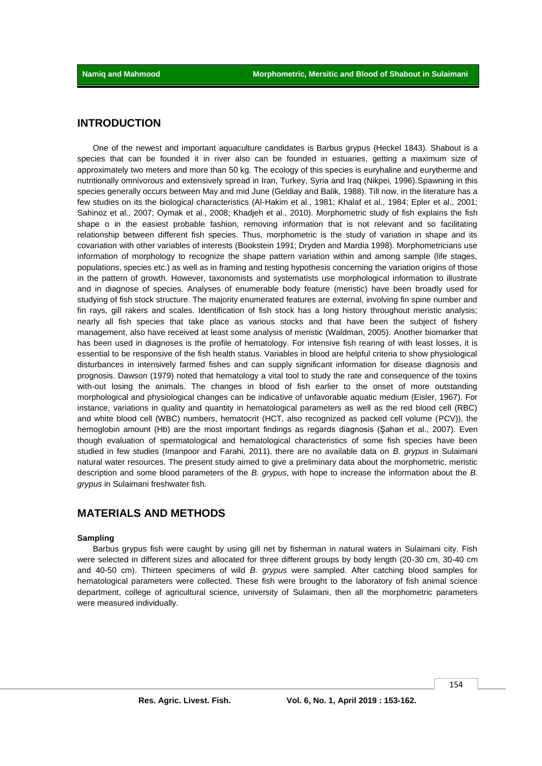### **INTRODUCTION**

One of the newest and important aquaculture candidates is Barbus grypus (Heckel 1843). Shabout is a species that can be founded it in river also can be founded in estuaries, getting a maximum size of approximately two meters and more than 50 kg. The ecology of this species is euryhaline and eurytherme and nutritionally omnivorous and extensively spread in Iran, Turkey, Syria and Iraq (Nikpei, 1996).Spawning in this species generally occurs between May and mid June (Geldiay and Balik, 1988). Till now, in the literature has a few studies on its the biological characteristics (Al-Hakim et al., 1981; Khalaf et al., 1984; Epler et al., 2001; Sahinoz et al., 2007; Oymak et al., 2008; Khadjeh et al., 2010). Morphometric study of fish explains the fish shape o in the easiest probable fashion, removing information that is not relevant and so facilitating relationship between different fish species. Thus, morphometric is the study of variation in shape and its covariation with other variables of interests (Bookstein 1991; Dryden and Mardia 1998). Morphometricians use information of morphology to recognize the shape pattern variation within and among sample (life stages, populations, species etc.) as well as in framing and testing hypothesis concerning the variation origins of those in the pattern of growth. However, taxonomists and systematists use morphological information to illustrate and in diagnose of species. Analyses of enumerable body feature (meristic) have been broadly used for studying of fish stock structure. The majority enumerated features are external, involving fin spine number and fin rays, gill rakers and scales. Identification of fish stock has a long history throughout meristic analysis; nearly all fish species that take place as various stocks and that have been the subject of fishery management, also have received at least some analysis of meristic (Waldman, 2005). Another biomarker that has been used in diagnoses is the profile of hematology. For intensive fish rearing of with least losses, it is essential to be responsive of the fish health status. Variables in blood are helpful criteria to show physiological disturbances in intensively farmed fishes and can supply significant information for disease diagnosis and prognosis. Dawson (1979) noted that hematology a vital tool to study the rate and consequence of the toxins with-out losing the animals. The changes in blood of fish earlier to the onset of more outstanding morphological and physiological changes can be indicative of unfavorable aquatic medium (Eisler, 1967). For instance, variations in quality and quantity in hematological parameters as well as the red blood cell (RBC) and white blood cell (WBC) numbers, hematocrit (HCT, also recognized as packed cell volume (PCV)), the hemoglobin amount (Hb) are the most important findings as regards diagnosis (Şahan et al., 2007). Even though evaluation of spermatological and hematological characteristics of some fish species have been studied in few studies (Imanpoor and Farahi, 2011), there are no available data on *B. grypus* in Sulaimani natural water resources. The present study aimed to give a preliminary data about the morphometric, meristic description and some blood parameters of the *B. grypus*, with hope to increase the information about the *B. grypus* in Sulaimani freshwater fish.

# **MATERIALS AND METHODS**

#### **Sampling**

Barbus grypus fish were caught by using gill net by fisherman in natural waters in Sulaimani city. Fish were selected in different sizes and allocated for three different groups by body length (20-30 cm, 30-40 cm and 40-50 cm). Thirteen specimens of wild *B. grypus* were sampled. After catching blood samples for hematological parameters were collected. These fish were brought to the laboratory of fish animal science department, college of agricultural science, university of Sulaimani, then all the morphometric parameters were measured individually.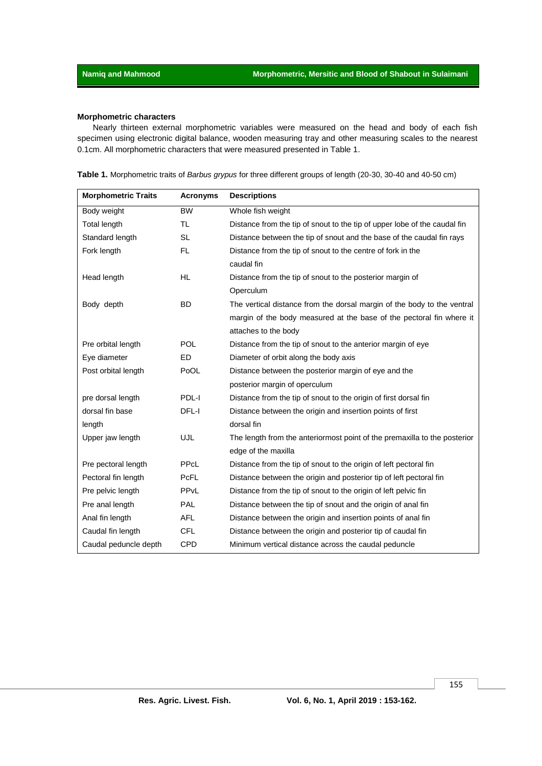### **Morphometric characters**

Nearly thirteen external morphometric variables were measured on the head and body of each fish specimen using electronic digital balance, wooden measuring tray and other measuring scales to the nearest 0.1cm. All morphometric characters that were measured presented in Table 1.

|  |  |  | Table 1. Morphometric traits of Barbus grypus for three different groups of length (20-30, 30-40 and 40-50 cm) |
|--|--|--|----------------------------------------------------------------------------------------------------------------|
|--|--|--|----------------------------------------------------------------------------------------------------------------|

| <b>Morphometric Traits</b> | <b>Acronyms</b>        | <b>Descriptions</b>                                                       |
|----------------------------|------------------------|---------------------------------------------------------------------------|
| Body weight                | <b>BW</b>              | Whole fish weight                                                         |
| Total length               | <b>TL</b>              | Distance from the tip of snout to the tip of upper lobe of the caudal fin |
| Standard length            | <b>SL</b>              | Distance between the tip of snout and the base of the caudal fin rays     |
| Fork length                | <b>FL</b>              | Distance from the tip of snout to the centre of fork in the               |
|                            |                        | caudal fin                                                                |
| Head length                | <b>HL</b>              | Distance from the tip of snout to the posterior margin of                 |
|                            |                        | Operculum                                                                 |
| Body depth                 | <b>BD</b>              | The vertical distance from the dorsal margin of the body to the ventral   |
|                            |                        | margin of the body measured at the base of the pectoral fin where it      |
|                            |                        | attaches to the body                                                      |
| Pre orbital length         | <b>POL</b>             | Distance from the tip of snout to the anterior margin of eye              |
| Eye diameter               | <b>ED</b>              | Diameter of orbit along the body axis                                     |
| Post orbital length        | PoOL                   | Distance between the posterior margin of eye and the                      |
|                            |                        | posterior margin of operculum                                             |
| pre dorsal length          | PDL-I                  | Distance from the tip of snout to the origin of first dorsal fin          |
| dorsal fin base            | DFL-I                  | Distance between the origin and insertion points of first                 |
| length                     |                        | dorsal fin                                                                |
| Upper jaw length           | <b>UJL</b>             | The length from the anteriormost point of the premaxilla to the posterior |
|                            |                        | edge of the maxilla                                                       |
| Pre pectoral length        | PPcL                   | Distance from the tip of snout to the origin of left pectoral fin         |
| Pectoral fin length        | <b>PcFL</b>            | Distance between the origin and posterior tip of left pectoral fin        |
| Pre pelvic length          | <b>PP<sub>vL</sub></b> | Distance from the tip of snout to the origin of left pelvic fin           |
| Pre anal length            | PAL                    | Distance between the tip of snout and the origin of anal fin              |
| Anal fin length            | <b>AFL</b>             | Distance between the origin and insertion points of anal fin              |
| Caudal fin length          | <b>CFL</b>             | Distance between the origin and posterior tip of caudal fin               |
| Caudal peduncle depth      | <b>CPD</b>             | Minimum vertical distance across the caudal peduncle                      |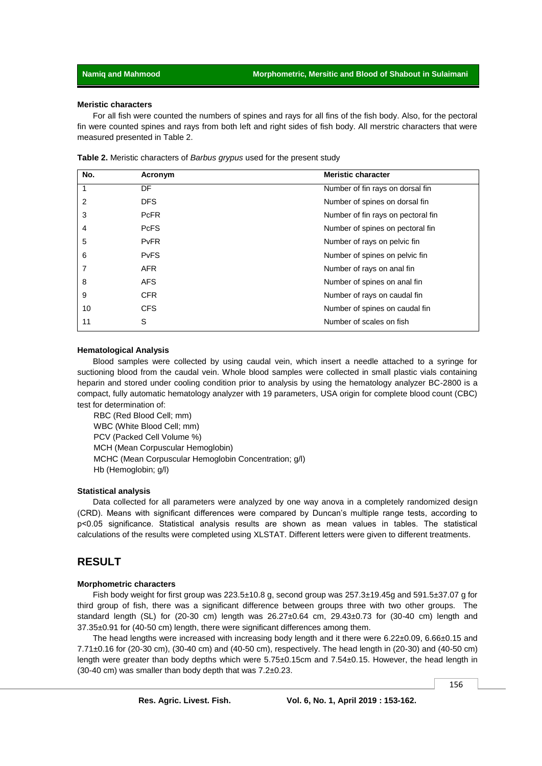#### **Meristic characters**

For all fish were counted the numbers of spines and rays for all fins of the fish body. Also, for the pectoral fin were counted spines and rays from both left and right sides of fish body. All merstric characters that were measured presented in Table 2.

| No. | Acronym     | <b>Meristic character</b>          |
|-----|-------------|------------------------------------|
|     | DF          | Number of fin rays on dorsal fin   |
| 2   | <b>DFS</b>  | Number of spines on dorsal fin     |
| 3   | <b>PcFR</b> | Number of fin rays on pectoral fin |
| 4   | <b>PcFS</b> | Number of spines on pectoral fin   |
| 5   | <b>PvFR</b> | Number of rays on pelvic fin       |
| 6   | <b>PvFS</b> | Number of spines on pelvic fin     |
| 7   | <b>AFR</b>  | Number of rays on anal fin         |
| 8   | <b>AFS</b>  | Number of spines on anal fin       |
| 9   | CFR.        | Number of rays on caudal fin       |
| 10  | <b>CFS</b>  | Number of spines on caudal fin     |
| 11  | S           | Number of scales on fish           |

#### **Hematological Analysis**

Blood samples were collected by using caudal vein, which insert a needle attached to a syringe for suctioning blood from the caudal vein. Whole blood samples were collected in small plastic vials containing heparin and stored under cooling condition prior to analysis by using the hematology analyzer BC-2800 is a compact, fully automatic hematology analyzer with 19 parameters, USA origin for complete blood count (CBC) test for determination of:

RBC (Red Blood Cell; mm) WBC (White Blood Cell; mm) PCV (Packed Cell Volume %) MCH (Mean Corpuscular Hemoglobin) MCHC (Mean Corpuscular Hemoglobin Concentration; g/l) Hb (Hemoglobin; g/l)

#### **Statistical analysis**

Data collected for all parameters were analyzed by one way anova in a completely randomized design (CRD). Means with significant differences were compared by Duncan's multiple range tests, according to p˂0.05 significance. Statistical analysis results are shown as mean values in tables. The statistical calculations of the results were completed using XLSTAT. Different letters were given to different treatments.

# **RESULT**

#### **Morphometric characters**

Fish body weight for first group was 223.5±10.8 g, second group was 257.3±19.45g and 591.5±37.07 g for third group of fish, there was a significant difference between groups three with two other groups. The standard length (SL) for (20-30 cm) length was  $26.27 \pm 0.64$  cm,  $29.43 \pm 0.73$  for (30-40 cm) length and 37.35±0.91 for (40-50 cm) length, there were significant differences among them.

The head lengths were increased with increasing body length and it there were 6.22±0.09, 6.66±0.15 and 7.71±0.16 for (20-30 cm), (30-40 cm) and (40-50 cm), respectively. The head length in (20-30) and (40-50 cm) length were greater than body depths which were 5.75±0.15cm and 7.54±0.15. However, the head length in (30-40 cm) was smaller than body depth that was 7.2±0.23.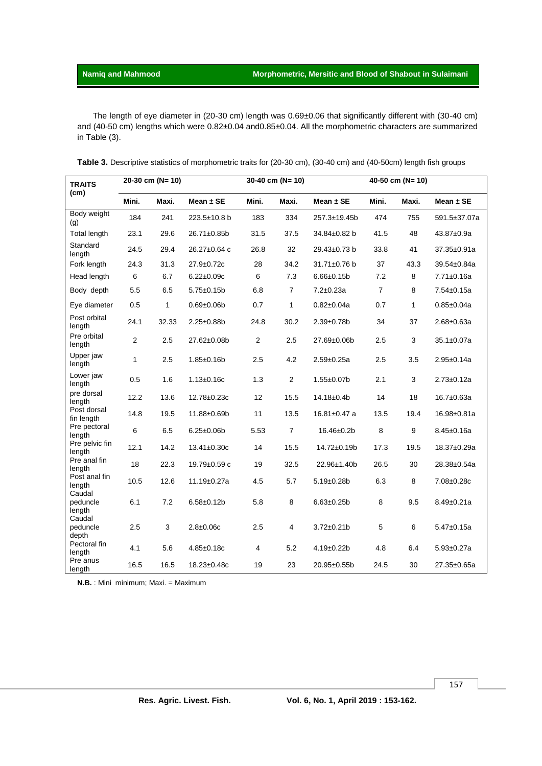The length of eye diameter in (20-30 cm) length was 0.69±0.06 that significantly different with (30-40 cm) and (40-50 cm) lengths which were 0.82±0.04 and0.85±0.04. All the morphometric characters are summarized in Table (3).

| Table 3. Descriptive statistics of morphometric traits for (20-30 cm), (30-40 cm) and (40-50cm) length fish groups |
|--------------------------------------------------------------------------------------------------------------------|
|                                                                                                                    |

| <b>TRAITS</b>                | 20-30 cm (N= 10) |       |                   | 30-40 cm (N= 10) |                |                    | 40-50 cm (N= 10) |              |                  |
|------------------------------|------------------|-------|-------------------|------------------|----------------|--------------------|------------------|--------------|------------------|
| (cm)                         | Mini.            | Maxi. | Mean $\pm$ SE     | Mini.            | Maxi.          | Mean $\pm$ SE      | Mini.            | Maxi.        | Mean $\pm$ SE    |
| Body weight<br>(g)           | 184              | 241   | 223.5±10.8 b      | 183              | 334            | 257.3±19.45b       | 474              | 755          | 591.5±37.07a     |
| Total length                 | 23.1             | 29.6  | 26.71±0.85b       | 31.5             | 37.5           | 34.84±0.82 b       | 41.5             | 48           | 43.87±0.9a       |
| Standard<br>length           | 24.5             | 29.4  | 26.27±0.64 c      | 26.8             | 32             | 29.43±0.73 b       | 33.8             | 41           | 37.35±0.91a      |
| Fork length                  | 24.3             | 31.3  | 27.9±0.72c        | 28               | 34.2           | 31.71±0.76 b       | 37               | 43.3         | 39.54±0.84a      |
| Head length                  | 6                | 6.7   | $6.22 \pm 0.09c$  | 6                | 7.3            | $6.66 \pm 0.15$ b  | 7.2              | 8            | 7.71±0.16a       |
| Body depth                   | 5.5              | 6.5   | $5.75 \pm 0.15$ b | 6.8              | $\overline{7}$ | $7.2 \pm 0.23a$    | $\overline{7}$   | 8            | $7.54 \pm 0.15a$ |
| Eye diameter                 | 0.5              | 1     | $0.69 + 0.06$     | 0.7              | $\mathbf{1}$   | $0.82 \pm 0.04a$   | 0.7              | $\mathbf{1}$ | $0.85 \pm 0.04a$ |
| Post orbital<br>length       | 24.1             | 32.33 | 2.25±0.88b        | 24.8             | 30.2           | $2.39 \pm 0.78$ b  | 34               | 37           | $2.68 \pm 0.63a$ |
| Pre orbital<br>length        | 2                | 2.5   | 27.62±0.08b       | $\overline{2}$   | 2.5            | 27.69±0.06b        | 2.5              | 3            | 35.1±0.07a       |
| Upper jaw<br>length          | 1                | 2.5   | $1.85 \pm 0.16$ b | 2.5              | 4.2            | $2.59 \pm 0.25a$   | 2.5              | 3.5          | $2.95 \pm 0.14a$ |
| Lower jaw<br>length          | 0.5              | 1.6   | $1.13 \pm 0.16c$  | 1.3              | 2              | 1.55±0.07b         | 2.1              | 3            | $2.73 \pm 0.12a$ |
| pre dorsal<br>length         | 12.2             | 13.6  | 12.78±0.23c       | 12               | 15.5           | 14.18±0.4b         | 14               | 18           | 16.7±0.63a       |
| Post dorsal<br>fin length    | 14.8             | 19.5  | 11.88±0.69b       | 11               | 13.5           | $16.81 \pm 0.47$ a | 13.5             | 19.4         | 16.98±0.81a      |
| Pre pectoral<br>length       | $\,6$            | 6.5   | $6.25 \pm 0.06$ b | 5.53             | $\overline{7}$ | 16.46±0.2b         | 8                | 9            | $8.45 \pm 0.16a$ |
| Pre pelvic fin<br>length     | 12.1             | 14.2  | $13.41 \pm 0.30c$ | 14               | 15.5           | 14.72±0.19b        | 17.3             | 19.5         | 18.37±0.29a      |
| Pre anal fin<br>length       | 18               | 22.3  | 19.79±0.59 c      | 19               | 32.5           | 22.96±1.40b        | 26.5             | 30           | 28.38±0.54a      |
| Post anal fin<br>length      | 10.5             | 12.6  | $11.19 \pm 0.27a$ | 4.5              | 5.7            | $5.19 \pm 0.28$ b  | 6.3              | 8            | 7.08±0.28c       |
| Caudal<br>peduncle<br>length | 6.1              | 7.2   | $6.58 \pm 0.12 b$ | 5.8              | 8              | $6.63 \pm 0.25$ b  | 8                | 9.5          | $8.49 \pm 0.21a$ |
| Caudal<br>peduncle<br>depth  | 2.5              | 3     | $2.8 \pm 0.06c$   | 2.5              | 4              | $3.72 \pm 0.21$ b  | 5                | 6            | $5.47 \pm 0.15a$ |
| Pectoral fin<br>length       | 4.1              | 5.6   | $4.85 \pm 0.18c$  | 4                | 5.2            | $4.19 \pm 0.22$ b  | 4.8              | 6.4          | $5.93 \pm 0.27a$ |
| Pre anus<br>length           | 16.5             | 16.5  | 18.23±0.48c       | 19               | 23             | 20.95±0.55b        | 24.5             | 30           | 27.35±0.65a      |

**N.B.** : Mini minimum; Maxi. = Maximum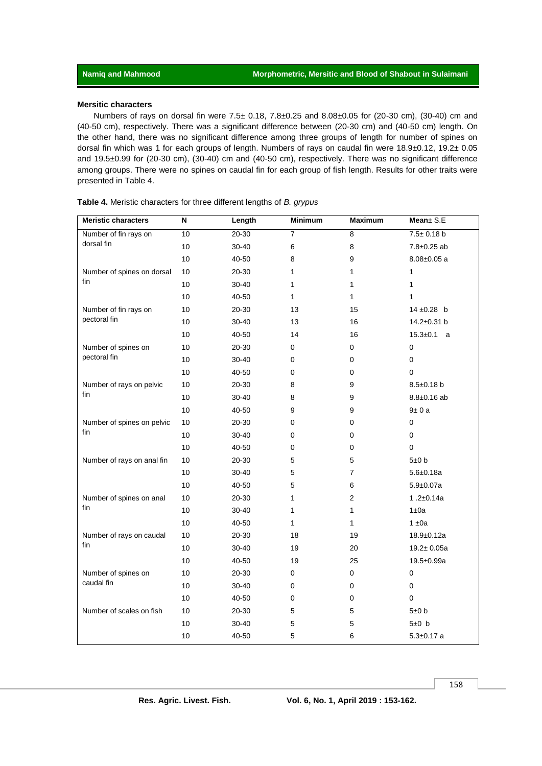#### **Mersitic characters**

Numbers of rays on dorsal fin were 7.5± 0.18, 7.8±0.25 and 8.08±0.05 for (20-30 cm), (30-40) cm and (40-50 cm), respectively. There was a significant difference between (20-30 cm) and (40-50 cm) length. On the other hand, there was no significant difference among three groups of length for number of spines on dorsal fin which was 1 for each groups of length. Numbers of rays on caudal fin were 18.9±0.12, 19.2± 0.05 and 19.5±0.99 for (20-30 cm), (30-40) cm and (40-50 cm), respectively. There was no significant difference among groups. There were no spines on caudal fin for each group of fish length. Results for other traits were presented in Table 4.

| Table 4. Meristic characters for three different lengths of B. grypus |  |  |
|-----------------------------------------------------------------------|--|--|
|-----------------------------------------------------------------------|--|--|

| <b>Meristic characters</b> | $\boldsymbol{\mathsf{N}}$ | Length    | <b>Minimum</b> | <b>Maximum</b> | Mean ± S.E        |
|----------------------------|---------------------------|-----------|----------------|----------------|-------------------|
| Number of fin rays on      | 10                        | 20-30     | $\overline{7}$ | 8              | $7.5 \pm 0.18$ b  |
| dorsal fin                 | 10                        | 30-40     | $\,6$          | 8              | 7.8±0.25 ab       |
|                            | 10                        | 40-50     | 8              | 9              | $8.08 \pm 0.05$ a |
| Number of spines on dorsal | 10                        | 20-30     | 1              | 1              | 1                 |
| fin                        | 10                        | 30-40     | 1              | 1              | 1                 |
|                            | 10                        | 40-50     | $\mathbf{1}$   | $\mathbf{1}$   | $\mathbf{1}$      |
| Number of fin rays on      | 10                        | 20-30     | 13             | 15             | 14 ±0.28 b        |
| pectoral fin               | 10                        | $30 - 40$ | 13             | 16             | 14.2±0.31 b       |
|                            | 10                        | 40-50     | 14             | 16             | $15.3 \pm 0.1$ a  |
| Number of spines on        | 10                        | $20 - 30$ | 0              | 0              | 0                 |
| pectoral fin               | 10                        | 30-40     | 0              | 0              | 0                 |
|                            | 10                        | 40-50     | 0              | 0              | $\Omega$          |
| Number of rays on pelvic   | 10                        | 20-30     | 8              | 9              | $8.5 \pm 0.18$ b  |
| fin                        | 10                        | 30-40     | 8              | 9              | $8.8 \pm 0.16$ ab |
|                            | 10                        | 40-50     | 9              | 9              | 9±0a              |
| Number of spines on pelvic | 10                        | 20-30     | 0              | 0              | $\pmb{0}$         |
| fin                        | 10                        | 30-40     | 0              | 0              | $\pmb{0}$         |
|                            | 10                        | 40-50     | 0              | 0              | $\mathbf 0$       |
| Number of rays on anal fin | 10                        | 20-30     | 5              | 5              | 5±0 b             |
|                            | 10                        | 30-40     | 5              | $\overline{7}$ | $5.6 + 0.18a$     |
|                            | 10                        | 40-50     | 5              | 6              | $5.9 + 0.07a$     |
| Number of spines on anal   | 10                        | 20-30     | 1              | $\overline{2}$ | 1.2 $\pm$ 0.14a   |
| fin                        | 10                        | 30-40     | 1              | 1              | $1 \pm 0a$        |
|                            | 10                        | 40-50     | 1              | 1              | $1 \pm 0a$        |
| Number of rays on caudal   | 10                        | 20-30     | 18             | 19             | $18.9 + 0.12a$    |
| fin                        | 10                        | 30-40     | 19             | 20             | $19.2 \pm 0.05a$  |
|                            | 10                        | 40-50     | 19             | 25             | 19.5±0.99a        |
| Number of spines on        | 10                        | 20-30     | 0              | 0              | 0                 |
| caudal fin                 | 10                        | 30-40     | 0              | 0              | 0                 |
|                            | 10                        | 40-50     | 0              | 0              | $\Omega$          |
| Number of scales on fish   | 10                        | $20 - 30$ | 5              | 5              | 5±0 b             |
|                            | 10                        | 30-40     | 5              | 5              | $5±0$ b           |
|                            | 10                        | 40-50     | 5              | 6              | $5.3 \pm 0.17$ a  |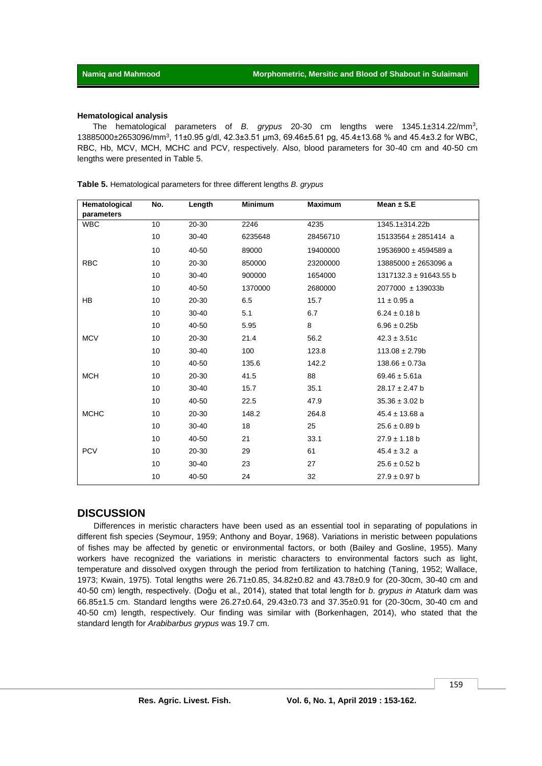#### **Hematological analysis**

The hematological parameters of *B. grypus* 20-30 cm lengths were 1345.1±314.22/mm<sup>3</sup> , 13885000±2653096/mm<sup>3</sup>, 11±0.95 g/dl, 42.3±3.51 µm3, 69.46±5.61 pg, 45.4±13.68 % and 45.4±3.2 for WBC, RBC, Hb, MCV, MCH, MCHC and PCV, respectively. Also, blood parameters for 30-40 cm and 40-50 cm lengths were presented in Table 5.

| Hematological | No. | Length    | <b>Minimum</b> | <b>Maximum</b> | Mean $\pm$ S.E           |
|---------------|-----|-----------|----------------|----------------|--------------------------|
| parameters    |     |           |                |                |                          |
| <b>WBC</b>    | 10  | 20-30     | 2246           | 4235           | 1345.1±314.22b           |
|               | 10  | 30-40     | 6235648        | 28456710       | $15133564 \pm 2851414$ a |
|               | 10  | 40-50     | 89000          | 19400000       | 19536900 ± 4594589 a     |
| <b>RBC</b>    | 10  | 20-30     | 850000         | 23200000       | 13885000 ± 2653096 a     |
|               | 10  | 30-40     | 900000         | 1654000        | 1317132.3 ± 91643.55 b   |
|               | 10  | 40-50     | 1370000        | 2680000        | 2077000 ± 139033b        |
| <b>HB</b>     | 10  | 20-30     | 6.5            | 15.7           | $11 \pm 0.95$ a          |
|               | 10  | 30-40     | 5.1            | 6.7            | $6.24 \pm 0.18$ b        |
|               | 10  | 40-50     | 5.95           | 8              | $6.96 \pm 0.25b$         |
| <b>MCV</b>    | 10  | 20-30     | 21.4           | 56.2           | $42.3 \pm 3.51c$         |
|               | 10  | 30-40     | 100            | 123.8          | $113.08 \pm 2.79b$       |
|               | 10  | 40-50     | 135.6          | 142.2          | $138.66 \pm 0.73a$       |
| <b>MCH</b>    | 10  | 20-30     | 41.5           | 88             | $69.46 \pm 5.61a$        |
|               | 10  | 30-40     | 15.7           | 35.1           | $28.17 \pm 2.47$ b       |
|               | 10  | 40-50     | 22.5           | 47.9           | $35.36 \pm 3.02$ b       |
| <b>MCHC</b>   | 10  | 20-30     | 148.2          | 264.8          | $45.4 \pm 13.68$ a       |
|               | 10  | $30 - 40$ | 18             | 25             | $25.6 \pm 0.89$ b        |
|               | 10  | 40-50     | 21             | 33.1           | $27.9 \pm 1.18$ b        |
| <b>PCV</b>    | 10  | 20-30     | 29             | 61             | $45.4 \pm 3.2$ a         |
|               | 10  | $30 - 40$ | 23             | 27             | $25.6 \pm 0.52$ b        |
|               | 10  | 40-50     | 24             | 32             | $27.9 \pm 0.97$ b        |

**Table 5.** Hematological parameters for three different lengths *B. grypus*

#### **DISCUSSION**

Differences in meristic characters have been used as an essential tool in separating of populations in different fish species (Seymour, 1959; Anthony and Boyar, 1968). Variations in meristic between populations of fishes may be affected by genetic or environmental factors, or both (Bailey and Gosline, 1955). Many workers have recognized the variations in meristic characters to environmental factors such as light, temperature and dissolved oxygen through the period from fertilization to hatching (Taning, 1952; Wallace, 1973; Kwain, 1975). Total lengths were 26.71±0.85, 34.82±0.82 and 43.78±0.9 for (20-30cm, 30-40 cm and 40-50 cm) length, respectively. (Doğu et al., 2014), stated that total length for *b*. *grypus in* Ataturk dam was 66.85±1.5 cm. Standard lengths were 26.27±0.64, 29.43±0.73 and 37.35±0.91 for (20-30cm, 30-40 cm and 40-50 cm) length, respectively. Our finding was similar with (Borkenhagen, 2014), who stated that the standard length for *Arabibarbus grypus* was 19.7 cm.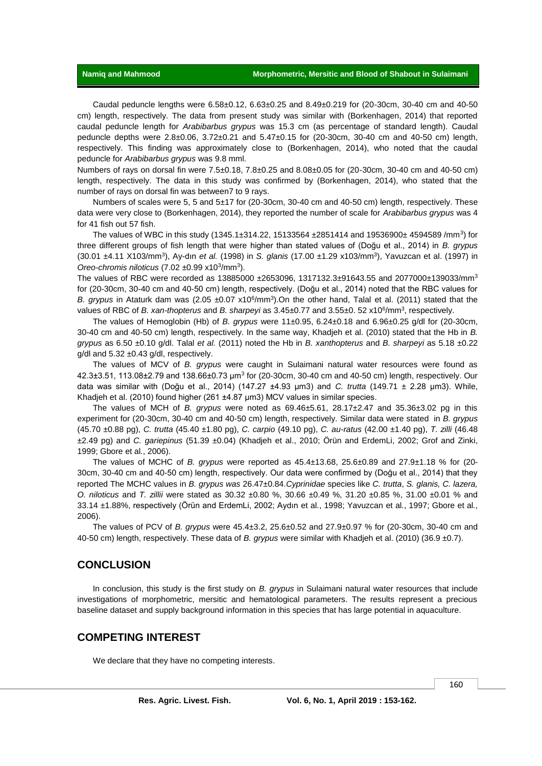Caudal peduncle lengths were 6.58±0.12, 6.63±0.25 and 8.49±0.219 for (20-30cm, 30-40 cm and 40-50 cm) length, respectively. The data from present study was similar with (Borkenhagen, 2014) that reported caudal peduncle length for *Arabibarbus grypus* was 15.3 cm (as percentage of standard length). Caudal peduncle depths were 2.8±0.06, 3.72±0.21 and 5.47±0.15 for (20-30cm, 30-40 cm and 40-50 cm) length, respectively. This finding was approximately close to (Borkenhagen, 2014), who noted that the caudal peduncle for *Arabibarbus grypus* was 9.8 mml.

Numbers of rays on dorsal fin were 7.5±0.18, 7.8±0.25 and 8.08±0.05 for (20-30cm, 30-40 cm and 40-50 cm) length, respectively. The data in this study was confirmed by (Borkenhagen, 2014), who stated that the number of rays on dorsal fin was between7 to 9 rays.

Numbers of scales were 5, 5 and 5±17 for (20-30cm, 30-40 cm and 40-50 cm) length, respectively. These data were very close to (Borkenhagen, 2014), they reported the number of scale for *Arabibarbus grypus* was 4 for 41 fish out 57 fish.

The values of WBC in this study (1345.1±314.22, 15133564 ±2851414 and 19536900± 4594589 /mm<sup>3</sup>) for three different groups of fish length that were higher than stated values of (Doğu et al., 2014) in *B. grypus*  (30.01 ±4.11 X103/mm<sup>3</sup> ), Ay-dın *et al.* (1998) in *S. glanis* (17.00 ±1.29 x103/mm<sup>3</sup> ), Yavuzcan et al. (1997) in Oreo-chromis niloticus (7.02 ±0.99 x10<sup>3</sup>/mm<sup>3</sup>).

The values of RBC were recorded as 13885000 ±2653096, 1317132.3±91643.55 and 2077000±139033/mm<sup>3</sup> for (20-30cm, 30-40 cm and 40-50 cm) length, respectively. (Doğu et al., 2014) noted that the RBC values for B. grypus in Ataturk dam was  $(2.05 \pm 0.07 \times 10^6/\text{mm}^3)$ . On the other hand, Talal et al. (2011) stated that the values of RBC of *B. xan-thopterus* and *B. sharpeyi* as  $3.45\pm0.77$  and  $3.55\pm0.52$  x10<sup>6</sup>/mm<sup>3</sup>, respectively.

The values of Hemoglobin (Hb) of *B. grypus* were 11±0.95, 6.24±0.18 and 6.96±0.25 g/dl for (20-30cm, 30-40 cm and 40-50 cm) length, respectively. In the same way, Khadjeh et al. (2010) stated that the Hb in *B. grypus* as 6.50 ±0.10 g/dl. Talal *et al.* (2011) noted the Hb in *B. xanthopterus* and *B. sharpeyi* as 5.18 ±0.22 g/dl and 5.32 ±0.43 g/dl, respectively.

The values of MCV of *B. grypus* were caught in Sulaimani natural water resources were found as 42.3±3.51, 113.08±2.79 and 138.66±0.73  $\mu$ m<sup>3</sup> for (20-30cm, 30-40 cm and 40-50 cm) length, respectively. Our data was similar with (Doğu et al., 2014) (147.27 ±4.93 μm3) and *C. trutta* (149.71 ± 2.28 μm3). While, Khadjeh et al. (2010) found higher (261 ±4.87 μm3) MCV values in similar species.

The values of MCH of *B. grypus* were noted as 69.46±5.61, 28.17±2.47 and 35.36±3.02 pg in this experiment for (20-30cm, 30-40 cm and 40-50 cm) length, respectively. Similar data were stated in *B. grypus*  (45.70 ±0.88 pg), *C. trutta* (45.40 ±1.80 pg), *C. carpio* (49.10 pg), *C. au-ratus* (42.00 ±1.40 pg), *T. zilli* (46.48 ±2.49 pg) and *C. gariepinus* (51.39 ±0.04) (Khadjeh et al., 2010; Örün and ErdemLi, 2002; Grof and Zinki, 1999; Gbore et al*.*, 2006).

The values of MCHC of *B. grypus* were reported as 45.4±13.68, 25.6±0.89 and 27.9±1.18 % for (20- 30cm, 30-40 cm and 40-50 cm) length, respectively. Our data were confirmed by (Doğu et al., 2014) that they reported The MCHC values in *B. grypus was* 26.47±0.84.*Cyprinidae* species like *C. trutta*, *S. glanis, C. lazera, O. niloticus* and *T. zillii* were stated as 30.32 ±0.80 %, 30.66 ±0.49 %, 31.20 ±0.85 %, 31.00 ±0.01 % and 33.14 ±1.88%, respectively (Örün and ErdemLi, 2002; Aydın et al*.*, 1998; Yavuzcan et al*.*, 1997; Gbore et al*.*, 2006).

The values of PCV of *B. grypus* were 45.4±3.2, 25.6±0.52 and 27.9±0.97 % for (20-30cm, 30-40 cm and 40-50 cm) length, respectively. These data of *B. grypus* were similar with Khadjeh et al. (2010) (36.9 ±0.7).

## **CONCLUSION**

In conclusion, this study is the first study on *B. grypus* in Sulaimani natural water resources that include investigations of morphometric, mersitic and hematological parameters. The results represent a precious baseline dataset and supply background information in this species that has large potential in aquaculture.

# **COMPETING INTEREST**

We declare that they have no competing interests.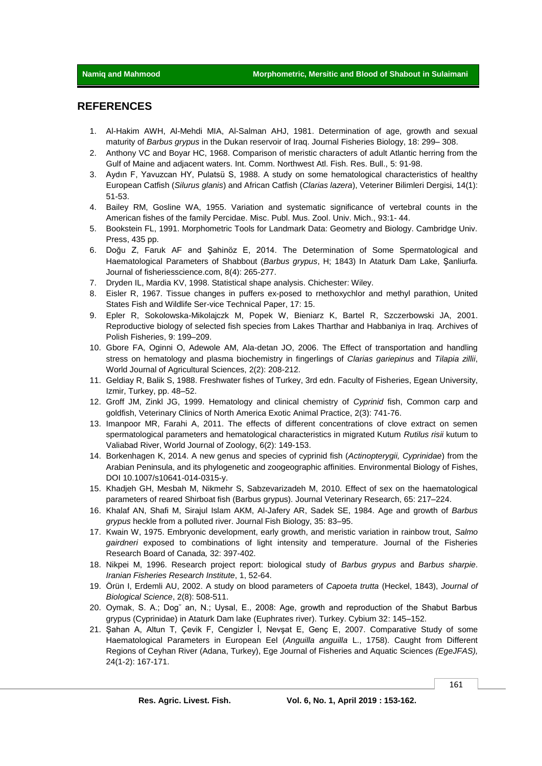# **REFERENCES**

- 1. Al-Hakim AWH, Al-Mehdi MIA, Al-Salman AHJ, 1981. Determination of age, growth and sexual maturity of *Barbus grypus* in the Dukan reservoir of Iraq. Journal Fisheries Biology, 18: 299– 308.
- 2. Anthony VC and Boyar HC, 1968. Comparison of meristic characters of adult Atlantic herring from the Gulf of Maine and adjacent waters. Int. Comm. Northwest Atl. Fish. Res. Bull., 5: 91-98.
- 3. Aydın F, Yavuzcan HY, Pulatsü S, 1988. A study on some hematological characteristics of healthy European Catfish (*Silurus glanis*) and African Catfish (*Clarias lazera*), Veteriner Bilimleri Dergisi*,* 14(1): 51-53.
- 4. Bailey RM, Gosline WA, 1955. Variation and systematic significance of vertebral counts in the American fishes of the family Percidae. Misc. Publ. Mus. Zool. Univ. Mich., 93:1- 44.
- 5. Bookstein FL, 1991. Morphometric Tools for Landmark Data: Geometry and Biology. Cambridge Univ. Press, 435 pp.
- 6. Doğu Z, Faruk AF and Şahinöz E, 2014. The Determination of Some Spermatological and Haematological Parameters of Shabbout (*Barbus grypus*, H; 1843) In Ataturk Dam Lake, Şanliurfa. Journal of fisheriesscience.com, 8(4): 265-277.
- 7. Dryden IL, Mardia KV, 1998. Statistical shape analysis. Chichester: Wiley.
- 8. Eisler R, 1967. Tissue changes in puffers ex-posed to rnethoxychlor and methyl parathion, United States Fish and Wildlife Ser-vice Technical Paper, 17: 15.
- 9. Epler R, Sokolowska-Mikolajczk M, Popek W, Bieniarz K, Bartel R, Szczerbowski JA, 2001. Reproductive biology of selected fish species from Lakes Tharthar and Habbaniya in Iraq. Archives of Polish Fisheries, 9: 199–209.
- 10. Gbore FA, Oginni O, Adewole AM, Ala-detan JO, 2006. The Effect of transportation and handling stress on hematology and plasma biochemistry in fingerlings of *Clarias gariepinus* and *Tilapia zillii*, World Journal of Agricultural Sciences, 2(2): 208-212.
- 11. Geldiay R, Balik S, 1988. Freshwater fishes of Turkey, 3rd edn. Faculty of Fisheries, Egean University, Izmir, Turkey, pp. 48–52.
- 12. Groff JM, Zinkl JG, 1999. Hematology and clinical chemistry of *Cyprinid* fish, Common carp and goldfish, Veterinary Clinics of North America Exotic Animal Practice, 2(3): 741-76.
- 13. Imanpoor MR, Farahi A, 2011. The effects of different concentrations of clove extract on semen spermatological parameters and hematological characteristics in migrated Kutum *Rutilus risii* kutum to Valiabad River, World Journal of Zoology, 6(2): 149-153.
- 14. Borkenhagen K, 2014. A new genus and species of cyprinid fish (*Actinopterygii, Cyprinidae*) from the Arabian Peninsula, and its phylogenetic and zoogeographic affinities. Environmental Biology of Fishes, DOI 10.1007/s10641-014-0315-y.
- 15. Khadjeh GH, Mesbah M, Nikmehr S, Sabzevarizadeh M, 2010. Effect of sex on the haematological parameters of reared Shirboat fish (Barbus grypus). Journal Veterinary Research, 65: 217–224.
- 16. Khalaf AN, Shafi M, Sirajul Islam AKM, Al-Jafery AR, Sadek SE, 1984. Age and growth of *Barbus grypus* heckle from a polluted river. Journal Fish Biology, 35: 83–95.
- 17. Kwain W, 1975. Embryonic development, early growth, and meristic variation in rainbow trout, *Salmo gairdneri* exposed to combinations of light intensity and temperature. Journal of the Fisheries Research Board of Canada*,* 32: 397-402.
- 18. Nikpei M, 1996. Research project report: biological study of *Barbus grypus* and *Barbus sharpie*. *Iranian Fisheries Research Institute*, 1, 52-64.
- 19. Örün I, Erdemli AU, 2002. A study on blood parameters of *Capoeta trutta* (Heckel, 1843), *Journal of Biological Science*, 2(8): 508-511.
- 20. Oymak, S. A.; Dog˘ an, N.; Uysal, E., 2008: Age, growth and reproduction of the Shabut Barbus grypus (Cyprinidae) in Ataturk Dam lake (Euphrates river). Turkey. Cybium 32: 145–152.
- 21. Şahan A, Altun T, Çevik F, Cengizler İ, Nevşat E, Genç E, 2007. Comparative Study of some Haematological Parameters in European Eel (*Anguilla anguilla* L., 1758). Caught from Different Regions of Ceyhan River (Adana, Turkey), Ege Journal of Fisheries and Aquatic Sciences *(EgeJFAS),*  24(1-2): 167-171.